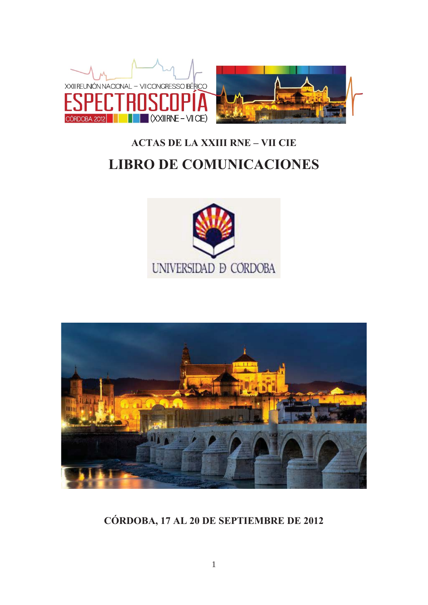

# **ACTAS DE LA XXIII RNE - VII CIE LIBRO DE COMUNICACIONES**





CÓRDOBA, 17 AL 20 DE SEPTIEMBRE DE 2012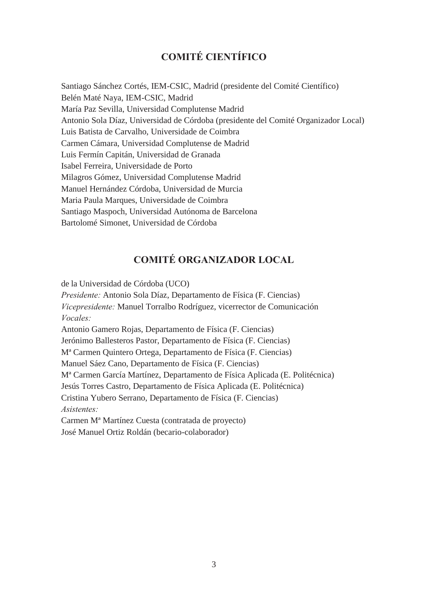# **COMITÉ CIENTÍFICO**

Santiago Sánchez Cortés, IEM-CSIC, Madrid (presidente del Comité Científico) Belén Maté Naya, IEM-CSIC, Madrid María Paz Sevilla, Universidad Complutense Madrid Antonio Sola Díaz, Universidad de Córdoba (presidente del Comité Organizador Local) Luis Batista de Carvalho, Universidade de Coimbra Carmen Cámara, Universidad Complutense de Madrid Luis Fermín Capitán, Universidad de Granada Isabel Ferreira, Universidade de Porto Milagros Gómez, Universidad Complutense Madrid Manuel Hernández Córdoba, Universidad de Murcia Maria Paula Marques, Universidade de Coimbra Santiago Maspoch, Universidad Autónoma de Barcelona Bartolomé Simonet, Universidad de Córdoba

## **COMITÉ ORGANIZADOR LOCAL**

de la Universidad de Córdoba (UCO) *Presidente:* Antonio Sola Díaz, Departamento de Física (F. Ciencias) *Vicepresidente:* Manuel Torralbo Rodríguez, vicerrector de Comunicación *Vocales:* Antonio Gamero Rojas, Departamento de Física (F. Ciencias) Jerónimo Ballesteros Pastor, Departamento de Física (F. Ciencias) Mª Carmen Quintero Ortega, Departamento de Física (F. Ciencias) Manuel Sáez Cano, Departamento de Física (F. Ciencias) Mª Carmen García Martínez, Departamento de Física Aplicada (E. Politécnica) Jesús Torres Castro, Departamento de Física Aplicada (E. Politécnica) Cristina Yubero Serrano, Departamento de Física (F. Ciencias) *Asistentes:*  Carmen Mª Martínez Cuesta (contratada de proyecto)

José Manuel Ortiz Roldán (becario-colaborador)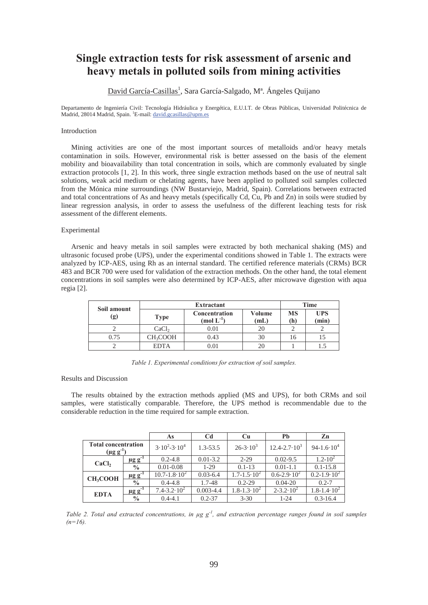## **Single extraction tests for risk assessment of arsenic and heavy metals in polluted soils from mining activities**

David García-Casillas<sup>1</sup>, Sara García-Salgado, M<sup>a</sup>. Ángeles Quijano

Departamento de Ingeniería Civil: Tecnología Hidráulica y Energética, E.U.I.T. de Obras Públicas, Universidad Politécnica de Madrid, 28014 Madrid, Spain. <sup>1</sup>E-mail: david.gcasillas@upm.es

#### Introduction

Mining activities are one of the most important sources of metalloids and/or heavy metals contamination in soils. However, environmental risk is better assessed on the basis of the element mobility and bioavailability than total concentration in soils, which are commonly evaluated by single extraction protocols [1, 2]. In this work, three single extraction methods based on the use of neutral salt solutions, weak acid medium or chelating agents, have been applied to polluted soil samples collected from the Mónica mine surroundings (NW Bustarviejo, Madrid, Spain). Correlations between extracted and total concentrations of As and heavy metals (specifically Cd, Cu, Pb and Zn) in soils were studied by linear regression analysis, in order to assess the usefulness of the different leaching tests for risk assessment of the different elements.

#### Experimental

Arsenic and heavy metals in soil samples were extracted by both mechanical shaking (MS) and ultrasonic focused probe (UPS), under the experimental conditions showed in Table 1. The extracts were analyzed by ICP-AES, using Rh as an internal standard. The certified reference materials (CRMs) BCR 483 and BCR 700 were used for validation of the extraction methods. On the other hand, the total element concentrations in soil samples were also determined by ICP-AES, after microwave digestion with aqua regia [2].

| Soil amount<br>(g) | Extractant           |                                         |                |           | <b>Time</b>         |  |
|--------------------|----------------------|-----------------------------------------|----------------|-----------|---------------------|--|
|                    | <b>Type</b>          | <b>Concentration</b><br>$\pmod{L^{-1}}$ | Volume<br>(mL) | MS<br>(h) | <b>UPS</b><br>(min) |  |
|                    | CaCl <sub>2</sub>    | $0.01\,$                                |                |           |                     |  |
| 0.75               | CH <sub>3</sub> COOH | 0.43                                    |                | Iб        |                     |  |
|                    | <b>EDTA</b>          |                                         |                |           | 1.J                 |  |

*Table 1. Experimental conditions for extraction of soil samples.*

#### Results and Discussion

The results obtained by the extraction methods applied (MS and UPS), for both CRMs and soil samples, were statistically comparable. Therefore, the UPS method is recommendable due to the considerable reduction in the time required for sample extraction.

|                                                |                         | As                      | C <sub>d</sub> | <b>Cu</b>                | Pb                         | Zn                     |
|------------------------------------------------|-------------------------|-------------------------|----------------|--------------------------|----------------------------|------------------------|
| <b>Total concentration</b><br>$(\mu g g^{-1})$ |                         | $3.10^{2} - 3.10^{4}$   | $1.3 - 53.5$   | $26 - 3 \cdot 10^3$      | $12.4 - 2.7 \cdot 10^3$    | $94-1.6 \cdot 10^4$    |
| CaCl <sub>2</sub>                              | $\mu$ g g <sup>-1</sup> | $0.2 - 4.8$             | $0.01 - 3.2$   | $2 - 29$                 | $0.02 - 9.5$               | $1.2 - 10^2$           |
|                                                | $\frac{0}{0}$           | $0.01 - 0.08$           | $1-29$         | $0.1 - 13$               | $0.01 - 1.1$               | $0.1 - 15.8$           |
| CH <sub>3</sub> COOH                           | $\mu$ g g <sup>-1</sup> | $10.7 - 1.8 \cdot 10^2$ | $0.03 - 6.4$   | $1.7 - 1.5 \cdot 10^2$   | $0.6 - 2.9 \cdot 10^2$     | $0.2 - 1.9 \cdot 10^2$ |
|                                                | $\frac{0}{0}$           | $0.4 - 4.8$             | 1.7-48         | $0.2 - 29$               | $0.04 - 20$                | $0.2 - 7$              |
| <b>EDTA</b>                                    | $\mu$ g g <sup>-1</sup> | $7.4 - 3.2 \cdot 10^2$  | $0.003 - 4.4$  | $1.8 - 1.3 \cdot 10^{2}$ | $2 - 3 \cdot 2 \cdot 10^2$ | $1.8 - 1.4 \cdot 10^2$ |
|                                                | $\frac{0}{0}$           | $0.4 - 4.1$             | $0.2 - 37$     | $3 - 30$                 | $1 - 24$                   | $0.3 - 16.4$           |

*Table 2. Total and extracted concentrations, in μg g-1, and extraction percentage ranges found in soil samples*   $(n=16)$ .